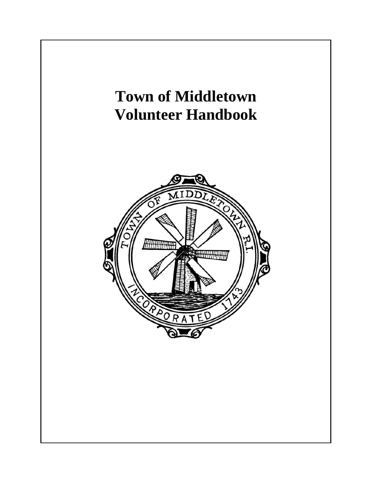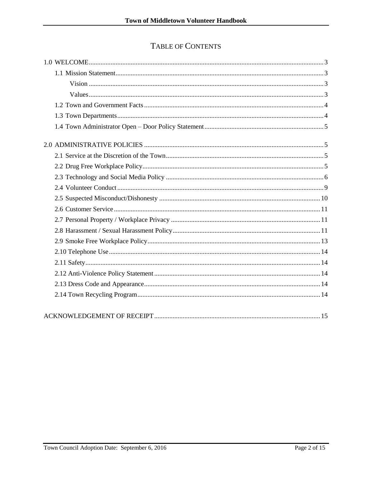# TABLE OF CONTENTS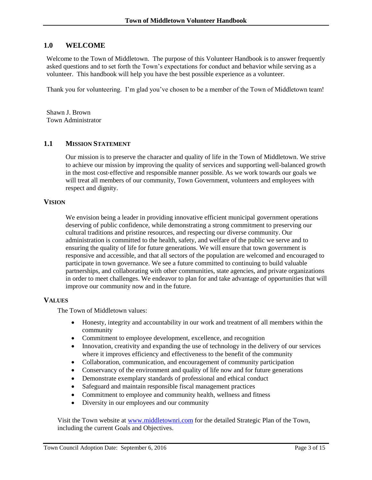# <span id="page-2-0"></span>**1.0 WELCOME**

Welcome to the Town of Middletown. The purpose of this Volunteer Handbook is to answer frequently asked questions and to set forth the Town's expectations for conduct and behavior while serving as a volunteer. This handbook will help you have the best possible experience as a volunteer.

Thank you for volunteering. I'm glad you've chosen to be a member of the Town of Middletown team!

Shawn J. Brown Town Administrator

### <span id="page-2-1"></span>**1.1 MISSION STATEMENT**

Our mission is to preserve the character and quality of life in the Town of Middletown. We strive to achieve our mission by improving the quality of services and supporting well‐balanced growth in the most cost‐effective and responsible manner possible. As we work towards our goals we will treat all members of our community, Town Government, volunteers and employees with respect and dignity.

### <span id="page-2-2"></span>**VISION**

We envision being a leader in providing innovative efficient municipal government operations deserving of public confidence, while demonstrating a strong commitment to preserving our cultural traditions and pristine resources, and respecting our diverse community. Our administration is committed to the health, safety, and welfare of the public we serve and to ensuring the quality of life for future generations. We will ensure that town government is responsive and accessible, and that all sectors of the population are welcomed and encouraged to participate in town governance. We see a future committed to continuing to build valuable partnerships, and collaborating with other communities, state agencies, and private organizations in order to meet challenges. We endeavor to plan for and take advantage of opportunities that will improve our community now and in the future.

### <span id="page-2-3"></span>**VALUES**

The Town of Middletown values:

- Honesty, integrity and accountability in our work and treatment of all members within the community
- Commitment to employee development, excellence, and recognition
- Innovation, creativity and expanding the use of technology in the delivery of our services where it improves efficiency and effectiveness to the benefit of the community
- Collaboration, communication, and encouragement of community participation
- Conservancy of the environment and quality of life now and for future generations
- Demonstrate exemplary standards of professional and ethical conduct
- Safeguard and maintain responsible fiscal management practices
- Commitment to employee and community health, wellness and fitness
- Diversity in our employees and our community

Visit the Town website at [www.middletownri.com](http://www.middletownri.com/) for the detailed Strategic Plan of the Town, including the current Goals and Objectives.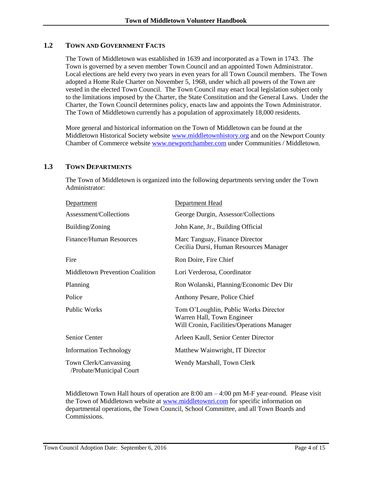# <span id="page-3-0"></span>**1.2 TOWN AND GOVERNMENT FACTS**

The Town of Middletown was established in 1639 and incorporated as a Town in 1743. The Town is governed by a seven member Town Council and an appointed Town Administrator. Local elections are held every two years in even years for all Town Council members. The Town adopted a Home Rule Charter on November 5, 1968, under which all powers of the Town are vested in the elected Town Council. The Town Council may enact local legislation subject only to the limitations imposed by the Charter, the State Constitution and the General Laws. Under the Charter, the Town Council determines policy, enacts law and appoints the Town Administrator. The Town of Middletown currently has a population of approximately 18,000 residents.

More general and historical information on the Town of Middletown can be found at the Middletown Historical Society website [www.middletownhistory.org](http://www.middletownhistory.org/) and on the Newport County Chamber of Commerce website [www.newportchamber.com](http://www.newportchamber.com/) under Communities / Middletown.

### <span id="page-3-1"></span>**1.3 TOWN DEPARTMENTS**

The Town of Middletown is organized into the following departments serving under the Town Administrator:

| Department                                        | Department Head                                                                                                   |
|---------------------------------------------------|-------------------------------------------------------------------------------------------------------------------|
| Assessment/Collections                            | George Durgin, Assessor/Collections                                                                               |
| Building/Zoning                                   | John Kane, Jr., Building Official                                                                                 |
| <b>Finance/Human Resources</b>                    | Marc Tanguay, Finance Director<br>Cecilia Dursi, Human Resources Manager                                          |
| Fire                                              | Ron Doire, Fire Chief                                                                                             |
| <b>Middletown Prevention Coalition</b>            | Lori Verderosa, Coordinator                                                                                       |
| Planning                                          | Ron Wolanski, Planning/Economic Dev Dir                                                                           |
| Police                                            | Anthony Pesare, Police Chief                                                                                      |
| <b>Public Works</b>                               | Tom O'Loughlin, Public Works Director<br>Warren Hall, Town Engineer<br>Will Cronin, Facilities/Operations Manager |
| <b>Senior Center</b>                              | Arleen Kaull, Senior Center Director                                                                              |
| <b>Information Technology</b>                     | Matthew Wainwright, IT Director                                                                                   |
| Town Clerk/Canvassing<br>/Probate/Municipal Court | Wendy Marshall, Town Clerk                                                                                        |

Middletown Town Hall hours of operation are 8:00 am – 4:00 pm M-F year-round. Please visit the Town of Middletown website at [www.middletownri.com](http://www.middletownri.com/) for specific information on departmental operations, the Town Council, School Committee, and all Town Boards and Commissions.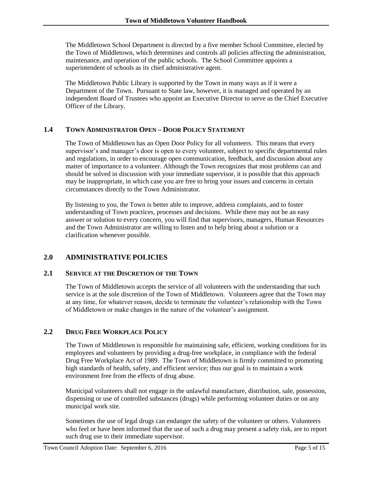The Middletown School Department is directed by a five member School Committee, elected by the Town of Middletown, which determines and controls all policies affecting the administration, maintenance, and operation of the public schools. The School Committee appoints a superintendent of schools as its chief administrative agent.

The Middletown Public Library is supported by the Town in many ways as if it were a Department of the Town. Pursuant to State law, however, it is managed and operated by an independent Board of Trustees who appoint an Executive Director to serve as the Chief Executive Officer of the Library.

# <span id="page-4-0"></span>**1.4 TOWN ADMINISTRATOR OPEN – DOOR POLICY STATEMENT**

The Town of Middletown has an Open Door Policy for all volunteers. This means that every supervisor's and manager's door is open to every volunteer, subject to specific departmental rules and regulations, in order to encourage open communication, feedback, and discussion about any matter of importance to a volunteer. Although the Town recognizes that most problems can and should be solved in discussion with your immediate supervisor, it is possible that this approach may be inappropriate, in which case you are free to bring your issues and concerns in certain circumstances directly to the Town Administrator.

By listening to you, the Town is better able to improve, address complaints, and to foster understanding of Town practices, processes and decisions. While there may not be an easy answer or solution to every concern, you will find that supervisors, managers, Human Resources and the Town Administrator are willing to listen and to help bring about a solution or a clarification whenever possible.

# <span id="page-4-1"></span>**2.0 ADMINISTRATIVE POLICIES**

# <span id="page-4-2"></span>**2.1 SERVICE AT THE DISCRETION OF THE TOWN**

The Town of Middletown accepts the service of all volunteers with the understanding that such service is at the sole discretion of the Town of Middletown. Volunteers agree that the Town may at any time, for whatever reason, decide to terminate the volunteer's relationship with the Town of Middletown or make changes in the nature of the volunteer's assignment.

# <span id="page-4-3"></span>**2.2 DRUG FREE WORKPLACE POLICY**

The Town of Middletown is responsible for maintaining safe, efficient, working conditions for its employees and volunteers by providing a drug-free workplace, in compliance with the federal Drug Free Workplace Act of 1989. The Town of Middletown is firmly committed to promoting high standards of health, safety, and efficient service; thus our goal is to maintain a work environment free from the effects of drug abuse.

Municipal volunteers shall not engage in the unlawful manufacture, distribution, sale, possession, dispensing or use of controlled substances (drugs) while performing volunteer duties or on any municipal work site.

Sometimes the use of legal drugs can endanger the safety of the volunteer or others. Volunteers who feel or have been informed that the use of such a drug may present a safety risk, are to report such drug use to their immediate supervisor.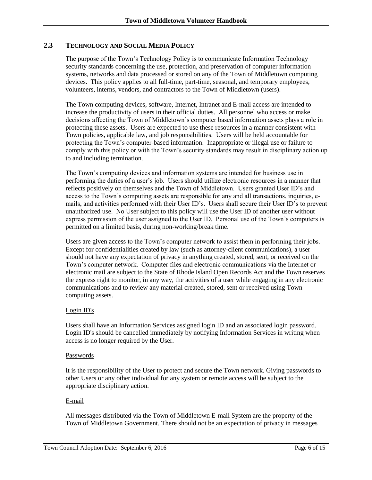# <span id="page-5-0"></span>**2.3 TECHNOLOGY AND SOCIAL MEDIA POLICY**

The purpose of the Town's Technology Policy is to communicate Information Technology security standards concerning the use, protection, and preservation of computer information systems, networks and data processed or stored on any of the Town of Middletown computing devices. This policy applies to all full-time, part-time, seasonal, and temporary employees, volunteers, interns, vendors, and contractors to the Town of Middletown (users).

The Town computing devices, software, Internet, Intranet and E-mail access are intended to increase the productivity of users in their official duties. All personnel who access or make decisions affecting the Town of Middletown's computer based information assets plays a role in protecting these assets. Users are expected to use these resources in a manner consistent with Town policies, applicable law, and job responsibilities. Users will be held accountable for protecting the Town's computer-based information. Inappropriate or illegal use or failure to comply with this policy or with the Town's security standards may result in disciplinary action up to and including termination.

The Town's computing devices and information systems are intended for business use in performing the duties of a user's job. Users should utilize electronic resources in a manner that reflects positively on themselves and the Town of Middletown. Users granted User ID's and access to the Town's computing assets are responsible for any and all transactions, inquiries, emails, and activities performed with their User ID's. Users shall secure their User ID's to prevent unauthorized use. No User subject to this policy will use the User ID of another user without express permission of the user assigned to the User ID. Personal use of the Town's computers is permitted on a limited basis, during non-working/break time.

Users are given access to the Town's computer network to assist them in performing their jobs. Except for confidentialities created by law (such as attorney-client communications), a user should not have any expectation of privacy in anything created, stored, sent, or received on the Town's computer network. Computer files and electronic communications via the Internet or electronic mail are subject to the State of Rhode Island Open Records Act and the Town reserves the express right to monitor, in any way, the activities of a user while engaging in any electronic communications and to review any material created, stored, sent or received using Town computing assets.

# Login ID's

Users shall have an Information Services assigned login ID and an associated login password. Login ID's should be cancelled immediately by notifying Information Services in writing when access is no longer required by the User.

### Passwords

It is the responsibility of the User to protect and secure the Town network. Giving passwords to other Users or any other individual for any system or remote access will be subject to the appropriate disciplinary action.

### E-mail

All messages distributed via the Town of Middletown E-mail System are the property of the Town of Middletown Government. There should not be an expectation of privacy in messages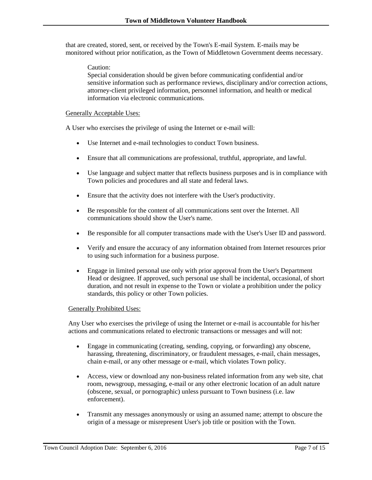that are created, stored, sent, or received by the Town's E-mail System. E-mails may be monitored without prior notification, as the Town of Middletown Government deems necessary.

#### Caution:

Special consideration should be given before communicating confidential and/or sensitive information such as performance reviews, disciplinary and/or correction actions, attorney-client privileged information, personnel information, and health or medical information via electronic communications.

#### Generally Acceptable Uses:

A User who exercises the privilege of using the Internet or e-mail will:

- Use Internet and e-mail technologies to conduct Town business.
- Ensure that all communications are professional, truthful, appropriate, and lawful.
- Use language and subject matter that reflects business purposes and is in compliance with Town policies and procedures and all state and federal laws.
- Ensure that the activity does not interfere with the User's productivity.
- Be responsible for the content of all communications sent over the Internet. All communications should show the User's name.
- Be responsible for all computer transactions made with the User's User ID and password.
- Verify and ensure the accuracy of any information obtained from Internet resources prior to using such information for a business purpose.
- Engage in limited personal use only with prior approval from the User's Department Head or designee. If approved, such personal use shall be incidental, occasional, of short duration, and not result in expense to the Town or violate a prohibition under the policy standards, this policy or other Town policies.

### Generally Prohibited Uses:

Any User who exercises the privilege of using the Internet or e-mail is accountable for his/her actions and communications related to electronic transactions or messages and will not:

- Engage in communicating (creating, sending, copying, or forwarding) any obscene, harassing, threatening, discriminatory, or fraudulent messages, e-mail, chain messages, chain e-mail, or any other message or e-mail, which violates Town policy.
- Access, view or download any non-business related information from any web site, chat room, newsgroup, messaging, e-mail or any other electronic location of an adult nature (obscene, sexual, or pornographic) unless pursuant to Town business (i.e. law enforcement).
- Transmit any messages anonymously or using an assumed name; attempt to obscure the origin of a message or misrepresent User's job title or position with the Town.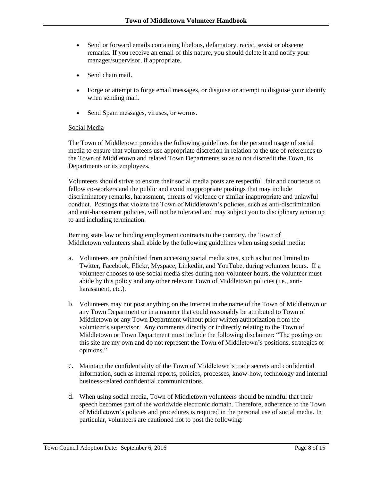- Send or forward emails containing libelous, defamatory, racist, sexist or obscene remarks. If you receive an email of this nature, you should delete it and notify your manager/supervisor, if appropriate.
- Send chain mail.
- Forge or attempt to forge email messages, or disguise or attempt to disguise your identity when sending mail.
- Send Spam messages, viruses, or worms.

#### Social Media

The Town of Middletown provides the following guidelines for the personal usage of social media to ensure that volunteers use appropriate discretion in relation to the use of references to the Town of Middletown and related Town Departments so as to not discredit the Town, its Departments or its employees.

Volunteers should strive to ensure their social media posts are respectful, fair and courteous to fellow co-workers and the public and avoid inappropriate postings that may include discriminatory remarks, harassment, threats of violence or similar inappropriate and unlawful conduct. Postings that violate the Town of Middletown's policies, such as anti-discrimination and anti-harassment policies, will not be tolerated and may subject you to disciplinary action up to and including termination.

Barring state law or binding employment contracts to the contrary, the Town of Middletown volunteers shall abide by the following guidelines when using social media:

- a. Volunteers are prohibited from accessing social media sites, such as but not limited to Twitter, Facebook, Flickr, Myspace, Linkedin, and YouTube, during volunteer hours. If a volunteer chooses to use social media sites during non-volunteer hours, the volunteer must abide by this policy and any other relevant Town of Middletown policies (i.e., antiharassment, etc.).
- b. Volunteers may not post anything on the Internet in the name of the Town of Middletown or any Town Department or in a manner that could reasonably be attributed to Town of Middletown or any Town Department without prior written authorization from the volunteer's supervisor. Any comments directly or indirectly relating to the Town of Middletown or Town Department must include the following disclaimer: "The postings on this site are my own and do not represent the Town of Middletown's positions, strategies or opinions."
- c. Maintain the confidentiality of the Town of Middletown's trade secrets and confidential information, such as internal reports, policies, processes, know-how, technology and internal business-related confidential communications.
- d. When using social media, Town of Middletown volunteers should be mindful that their speech becomes part of the worldwide electronic domain. Therefore, adherence to the Town of Middletown's policies and procedures is required in the personal use of social media. In particular, volunteers are cautioned not to post the following: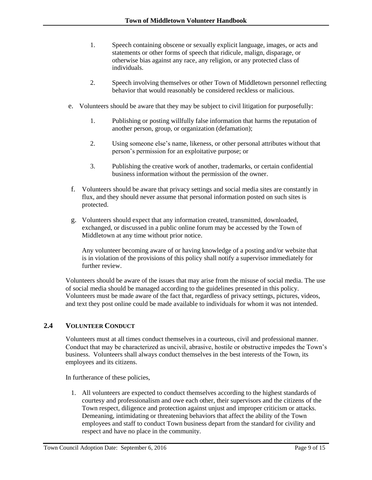- 1. Speech containing obscene or sexually explicit language, images, or acts and statements or other forms of speech that ridicule, malign, disparage, or otherwise bias against any race, any religion, or any protected class of individuals.
- 2. Speech involving themselves or other Town of Middletown personnel reflecting behavior that would reasonably be considered reckless or malicious.
- e. Volunteers should be aware that they may be subject to civil litigation for purposefully:
	- 1. Publishing or posting willfully false information that harms the reputation of another person, group, or organization (defamation);
	- 2. Using someone else's name, likeness, or other personal attributes without that person's permission for an exploitative purpose; or
	- 3. Publishing the creative work of another, trademarks, or certain confidential business information without the permission of the owner.
- f. Volunteers should be aware that privacy settings and social media sites are constantly in flux, and they should never assume that personal information posted on such sites is protected.
- g. Volunteers should expect that any information created, transmitted, downloaded, exchanged, or discussed in a public online forum may be accessed by the Town of Middletown at any time without prior notice.

Any volunteer becoming aware of or having knowledge of a posting and/or website that is in violation of the provisions of this policy shall notify a supervisor immediately for further review.

Volunteers should be aware of the issues that may arise from the misuse of social media. The use of social media should be managed according to the guidelines presented in this policy. Volunteers must be made aware of the fact that, regardless of privacy settings, pictures, videos, and text they post online could be made available to individuals for whom it was not intended.

# <span id="page-8-0"></span>**2.4 VOLUNTEER CONDUCT**

Volunteers must at all times conduct themselves in a courteous, civil and professional manner. Conduct that may be characterized as uncivil, abrasive, hostile or obstructive impedes the Town's business. Volunteers shall always conduct themselves in the best interests of the Town, its employees and its citizens.

In furtherance of these policies,

1. All volunteers are expected to conduct themselves according to the highest standards of courtesy and professionalism and owe each other, their supervisors and the citizens of the Town respect, diligence and protection against unjust and improper criticism or attacks. Demeaning, intimidating or threatening behaviors that affect the ability of the Town employees and staff to conduct Town business depart from the standard for civility and respect and have no place in the community.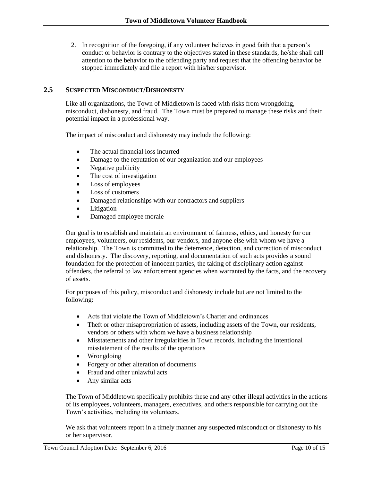2. In recognition of the foregoing, if any volunteer believes in good faith that a person's conduct or behavior is contrary to the objectives stated in these standards, he/she shall call attention to the behavior to the offending party and request that the offending behavior be stopped immediately and file a report with his/her supervisor.

# <span id="page-9-0"></span>**2.5 SUSPECTED MISCONDUCT/DISHONESTY**

Like all organizations, the Town of Middletown is faced with risks from wrongdoing, misconduct, dishonesty, and fraud. The Town must be prepared to manage these risks and their potential impact in a professional way.

The impact of misconduct and dishonesty may include the following:

- The actual financial loss incurred
- Damage to the reputation of our organization and our employees
- Negative publicity
- The cost of investigation
- Loss of employees
- Loss of customers
- Damaged relationships with our contractors and suppliers
- Litigation
- Damaged employee morale

Our goal is to establish and maintain an environment of fairness, ethics, and honesty for our employees, volunteers, our residents, our vendors, and anyone else with whom we have a relationship. The Town is committed to the deterrence, detection, and correction of misconduct and dishonesty. The discovery, reporting, and documentation of such acts provides a sound foundation for the protection of innocent parties, the taking of disciplinary action against offenders, the referral to law enforcement agencies when warranted by the facts, and the recovery of assets.

For purposes of this policy, misconduct and dishonesty include but are not limited to the following:

- Acts that violate the Town of Middletown's Charter and ordinances
- Theft or other misappropriation of assets, including assets of the Town, our residents, vendors or others with whom we have a business relationship
- Misstatements and other irregularities in Town records, including the intentional misstatement of the results of the operations
- Wrongdoing
- Forgery or other alteration of documents
- Fraud and other unlawful acts
- Any similar acts

The Town of Middletown specifically prohibits these and any other illegal activities in the actions of its employees, volunteers, managers, executives, and others responsible for carrying out the Town's activities, including its volunteers.

We ask that volunteers report in a timely manner any suspected misconduct or dishonesty to his or her supervisor.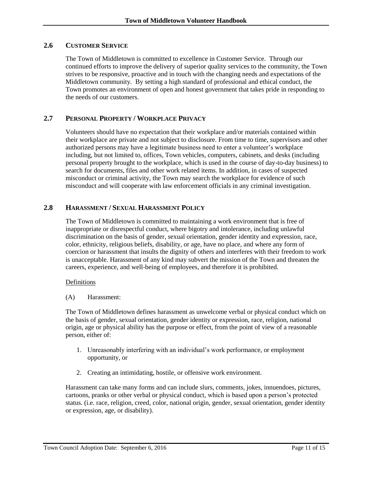# <span id="page-10-0"></span>**2.6 CUSTOMER SERVICE**

The Town of Middletown is committed to excellence in Customer Service. Through our continued efforts to improve the delivery of superior quality services to the community, the Town strives to be responsive, proactive and in touch with the changing needs and expectations of the Middletown community. By setting a high standard of professional and ethical conduct, the Town promotes an environment of open and honest government that takes pride in responding to the needs of our customers.

# <span id="page-10-1"></span>**2.7 PERSONAL PROPERTY / WORKPLACE PRIVACY**

Volunteers should have no expectation that their workplace and/or materials contained within their workplace are private and not subject to disclosure. From time to time, supervisors and other authorized persons may have a legitimate business need to enter a volunteer's workplace including, but not limited to, offices, Town vehicles, computers, cabinets, and desks (including personal property brought to the workplace, which is used in the course of day-to-day business) to search for documents, files and other work related items. In addition, in cases of suspected misconduct or criminal activity, the Town may search the workplace for evidence of such misconduct and will cooperate with law enforcement officials in any criminal investigation.

# <span id="page-10-2"></span>**2.8 HARASSMENT / SEXUAL HARASSMENT POLICY**

The Town of Middletown is committed to maintaining a work environment that is free of inappropriate or disrespectful conduct, where bigotry and intolerance, including unlawful discrimination on the basis of gender, sexual orientation, gender identity and expression, race, color, ethnicity, religious beliefs, disability, or age, have no place, and where any form of coercion or harassment that insults the dignity of others and interferes with their freedom to work is unacceptable. Harassment of any kind may subvert the mission of the Town and threaten the careers, experience, and well-being of employees, and therefore it is prohibited.

### Definitions

(A) Harassment:

The Town of Middletown defines harassment as unwelcome verbal or physical conduct which on the basis of gender, sexual orientation, gender identity or expression, race, religion, national origin, age or physical ability has the purpose or effect, from the point of view of a reasonable person, either of:

- 1. Unreasonably interfering with an individual's work performance, or employment opportunity, or
- 2. Creating an intimidating, hostile, or offensive work environment.

Harassment can take many forms and can include slurs, comments, jokes, innuendoes, pictures, cartoons, pranks or other verbal or physical conduct, which is based upon a person's protected status. (i.e. race, religion, creed, color, national origin, gender, sexual orientation, gender identity or expression, age, or disability).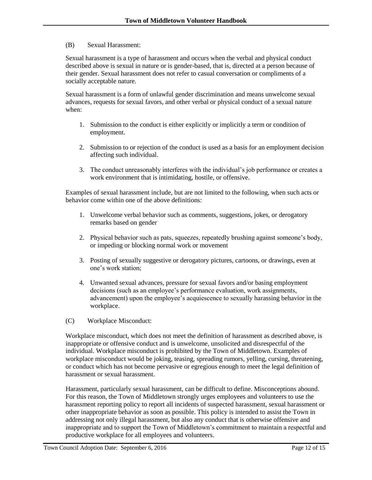# (B) Sexual Harassment:

Sexual harassment is a type of harassment and occurs when the verbal and physical conduct described above is sexual in nature or is gender-based, that is, directed at a person because of their gender. Sexual harassment does not refer to casual conversation or compliments of a socially acceptable nature.

Sexual harassment is a form of unlawful gender discrimination and means unwelcome sexual advances, requests for sexual favors, and other verbal or physical conduct of a sexual nature when:

- 1. Submission to the conduct is either explicitly or implicitly a term or condition of employment.
- 2. Submission to or rejection of the conduct is used as a basis for an employment decision affecting such individual.
- 3. The conduct unreasonably interferes with the individual's job performance or creates a work environment that is intimidating, hostile, or offensive.

Examples of sexual harassment include, but are not limited to the following, when such acts or behavior come within one of the above definitions:

- 1. Unwelcome verbal behavior such as comments, suggestions, jokes, or derogatory remarks based on gender
- 2. Physical behavior such as pats, squeezes, repeatedly brushing against someone's body, or impeding or blocking normal work or movement
- 3. Posting of sexually suggestive or derogatory pictures, cartoons, or drawings, even at one's work station;
- 4. Unwanted sexual advances, pressure for sexual favors and/or basing employment decisions (such as an employee's performance evaluation, work assignments, advancement) upon the employee's acquiescence to sexually harassing behavior in the workplace.
- (C) Workplace Misconduct:

Workplace misconduct, which does not meet the definition of harassment as described above, is inappropriate or offensive conduct and is unwelcome, unsolicited and disrespectful of the individual. Workplace misconduct is prohibited by the Town of Middletown. Examples of workplace misconduct would be joking, teasing, spreading rumors, yelling, cursing, threatening, or conduct which has not become pervasive or egregious enough to meet the legal definition of harassment or sexual harassment.

Harassment, particularly sexual harassment, can be difficult to define. Misconceptions abound. For this reason, the Town of Middletown strongly urges employees and volunteers to use the harassment reporting policy to report all incidents of suspected harassment, sexual harassment or other inappropriate behavior as soon as possible. This policy is intended to assist the Town in addressing not only illegal harassment, but also any conduct that is otherwise offensive and inappropriate and to support the Town of Middletown's commitment to maintain a respectful and productive workplace for all employees and volunteers.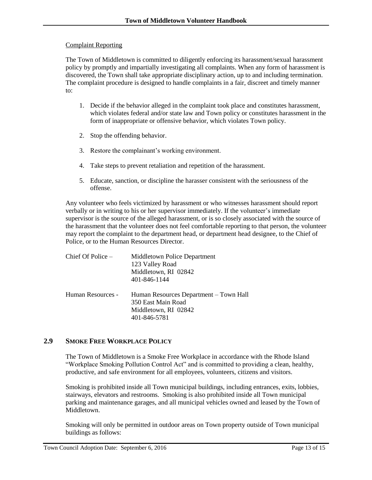### Complaint Reporting

The Town of Middletown is committed to diligently enforcing its harassment/sexual harassment policy by promptly and impartially investigating all complaints. When any form of harassment is discovered, the Town shall take appropriate disciplinary action, up to and including termination. The complaint procedure is designed to handle complaints in a fair, discreet and timely manner to:

- 1. Decide if the behavior alleged in the complaint took place and constitutes harassment, which violates federal and/or state law and Town policy or constitutes harassment in the form of inappropriate or offensive behavior, which violates Town policy.
- 2. Stop the offending behavior.
- 3. Restore the complainant's working environment.
- 4. Take steps to prevent retaliation and repetition of the harassment.
- 5. Educate, sanction, or discipline the harasser consistent with the seriousness of the offense.

Any volunteer who feels victimized by harassment or who witnesses harassment should report verbally or in writing to his or her supervisor immediately. If the volunteer's immediate supervisor is the source of the alleged harassment, or is so closely associated with the source of the harassment that the volunteer does not feel comfortable reporting to that person, the volunteer may report the complaint to the department head, or department head designee, to the Chief of Police, or to the Human Resources Director.

| Chief Of Police $-$ | Middletown Police Department<br>123 Valley Road<br>Middletown, RI 02842<br>401-846-1144              |
|---------------------|------------------------------------------------------------------------------------------------------|
| Human Resources -   | Human Resources Department – Town Hall<br>350 East Main Road<br>Middletown, RI 02842<br>401-846-5781 |

# <span id="page-12-0"></span>**2.9 SMOKE FREE WORKPLACE POLICY**

The Town of Middletown is a Smoke Free Workplace in accordance with the Rhode Island "Workplace Smoking Pollution Control Act" and is committed to providing a clean, healthy, productive, and safe environment for all employees, volunteers, citizens and visitors.

Smoking is prohibited inside all Town municipal buildings, including entrances, exits, lobbies, stairways, elevators and restrooms. Smoking is also prohibited inside all Town municipal parking and maintenance garages, and all municipal vehicles owned and leased by the Town of Middletown.

Smoking will only be permitted in outdoor areas on Town property outside of Town municipal buildings as follows: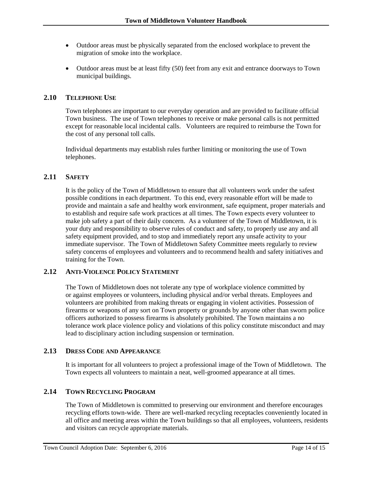- Outdoor areas must be physically separated from the enclosed workplace to prevent the migration of smoke into the workplace.
- Outdoor areas must be at least fifty (50) feet from any exit and entrance doorways to Town municipal buildings.

### <span id="page-13-0"></span>**2.10 TELEPHONE USE**

Town telephones are important to our everyday operation and are provided to facilitate official Town business. The use of Town telephones to receive or make personal calls is not permitted except for reasonable local incidental calls. Volunteers are required to reimburse the Town for the cost of any personal toll calls.

Individual departments may establish rules further limiting or monitoring the use of Town telephones.

# <span id="page-13-1"></span>**2.11 SAFETY**

It is the policy of the Town of Middletown to ensure that all volunteers work under the safest possible conditions in each department. To this end, every reasonable effort will be made to provide and maintain a safe and healthy work environment, safe equipment, proper materials and to establish and require safe work practices at all times. The Town expects every volunteer to make job safety a part of their daily concern. As a volunteer of the Town of Middletown, it is your duty and responsibility to observe rules of conduct and safety, to properly use any and all safety equipment provided, and to stop and immediately report any unsafe activity to your immediate supervisor. The Town of Middletown Safety Committee meets regularly to review safety concerns of employees and volunteers and to recommend health and safety initiatives and training for the Town.

### <span id="page-13-2"></span>**2.12 ANTI-VIOLENCE POLICY STATEMENT**

The Town of Middletown does not tolerate any type of workplace violence committed by or against employees or volunteers, including physical and/or verbal threats. Employees and volunteers are prohibited from making threats or engaging in violent activities. Possession of firearms or weapons of any sort on Town property or grounds by anyone other than sworn police officers authorized to possess firearms is absolutely prohibited. The Town maintains a no tolerance work place violence policy and violations of this policy constitute misconduct and may lead to disciplinary action including suspension or termination.

### <span id="page-13-3"></span>**2.13 DRESS CODE AND APPEARANCE**

It is important for all volunteers to project a professional image of the Town of Middletown. The Town expects all volunteers to maintain a neat, well-groomed appearance at all times.

# <span id="page-13-4"></span>**2.14 TOWN RECYCLING PROGRAM**

The Town of Middletown is committed to preserving our environment and therefore encourages recycling efforts town-wide. There are well-marked recycling receptacles conveniently located in all office and meeting areas within the Town buildings so that all employees, volunteers, residents and visitors can recycle appropriate materials.